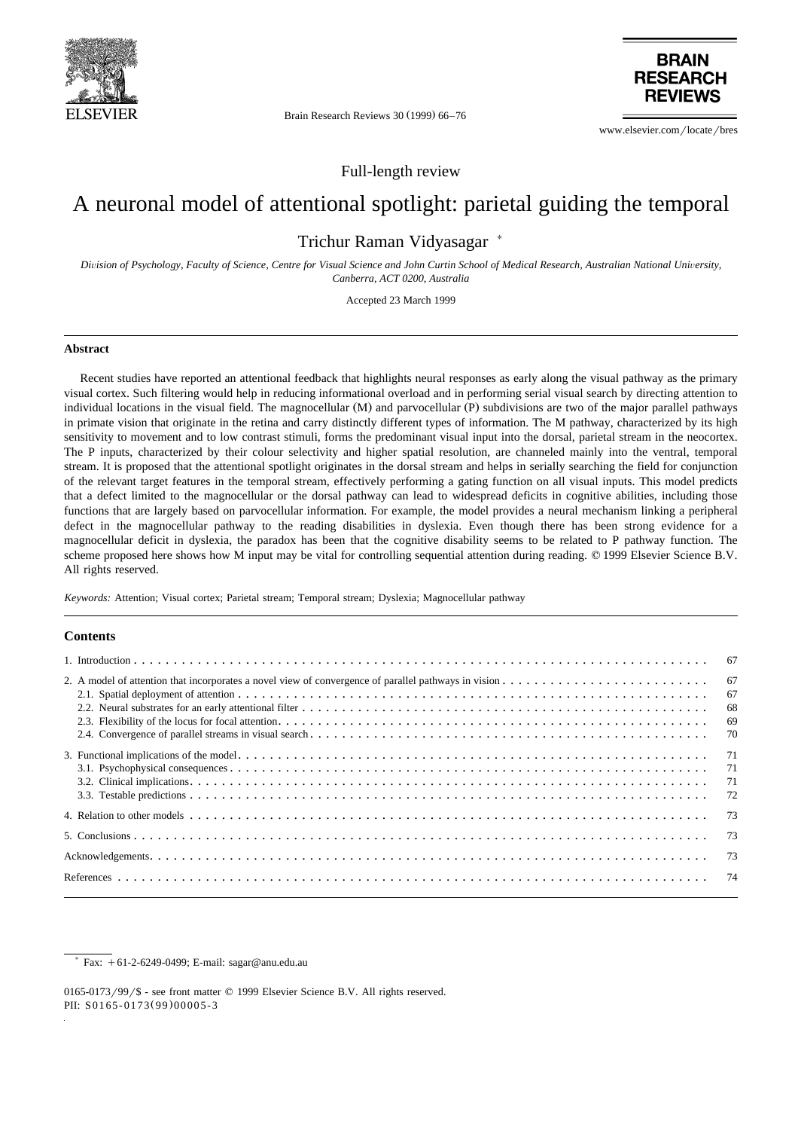

Brain Research Reviews 30 (1999) 66-76



www.elsevier.com/locate/bres

Full-length review

# A neuronal model of attentional spotlight: parietal guiding the temporal

Trichur Raman Vidyasagar )

Division of Psychology, Faculty of Science, Centre for Visual Science and John Curtin School of Medical Research, Australian National University, *Canberra, ACT 0200, Australia*

Accepted 23 March 1999

## **Abstract**

Recent studies have reported an attentional feedback that highlights neural responses as early along the visual pathway as the primary visual cortex. Such filtering would help in reducing informational overload and in performing serial visual search by directing attention to individual locations in the visual field. The magnocellular  $(M)$  and parvocellular  $(P)$  subdivisions are two of the major parallel pathways in primate vision that originate in the retina and carry distinctly different types of information. The M pathway, characterized by its high sensitivity to movement and to low contrast stimuli, forms the predominant visual input into the dorsal, parietal stream in the neocortex. The P inputs, characterized by their colour selectivity and higher spatial resolution, are channeled mainly into the ventral, temporal stream. It is proposed that the attentional spotlight originates in the dorsal stream and helps in serially searching the field for conjunction of the relevant target features in the temporal stream, effectively performing a gating function on all visual inputs. This model predicts that a defect limited to the magnocellular or the dorsal pathway can lead to widespread deficits in cognitive abilities, including those functions that are largely based on parvocellular information. For example, the model provides a neural mechanism linking a peripheral defect in the magnocellular pathway to the reading disabilities in dyslexia. Even though there has been strong evidence for a magnocellular deficit in dyslexia, the paradox has been that the cognitive disability seems to be related to P pathway function. The scheme proposed here shows how M input may be vital for controlling sequential attention during reading. © 1999 Elsevier Science B.V. All rights reserved.

*Keywords:* Attention; Visual cortex; Parietal stream; Temporal stream; Dyslexia; Magnocellular pathway

# **Contents**

|  | 67<br>67<br>68<br>69<br>70 |
|--|----------------------------|
|  | 71<br>71<br>71<br>72       |
|  | 73                         |
|  | 73                         |
|  | 73                         |
|  |                            |

<sup>)</sup> Fax: q61-2-6249-0499; E-mail: sagar@anu.edu.au

<sup>0165-0173/99/\$ -</sup> see front matter  $\odot$  1999 Elsevier Science B.V. All rights reserved. PII: S0165-0173(99)00005-3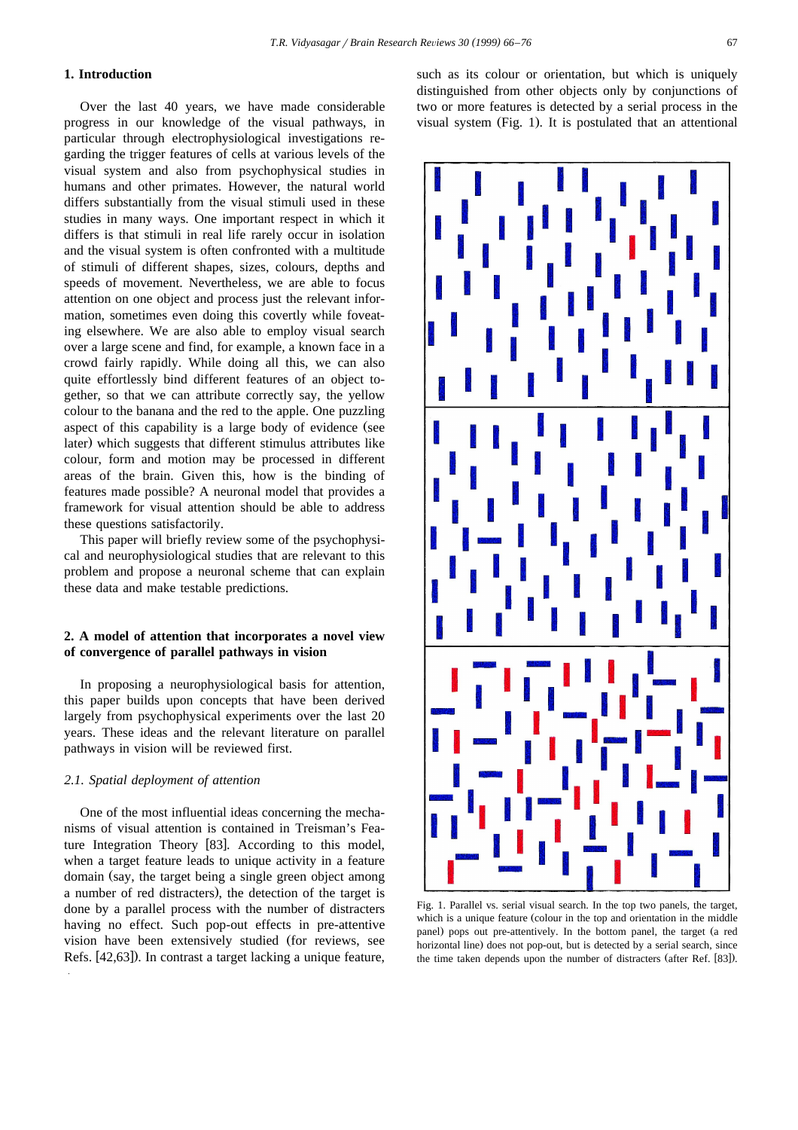## **1. Introduction**

Over the last 40 years, we have made considerable progress in our knowledge of the visual pathways, in particular through electrophysiological investigations regarding the trigger features of cells at various levels of the visual system and also from psychophysical studies in humans and other primates. However, the natural world differs substantially from the visual stimuli used in these studies in many ways. One important respect in which it differs is that stimuli in real life rarely occur in isolation and the visual system is often confronted with a multitude of stimuli of different shapes, sizes, colours, depths and speeds of movement. Nevertheless, we are able to focus attention on one object and process just the relevant information, sometimes even doing this covertly while foveating elsewhere. We are also able to employ visual search over a large scene and find, for example, a known face in a crowd fairly rapidly. While doing all this, we can also quite effortlessly bind different features of an object together, so that we can attribute correctly say, the yellow colour to the banana and the red to the apple. One puzzling aspect of this capability is a large body of evidence (see later) which suggests that different stimulus attributes like colour, form and motion may be processed in different areas of the brain. Given this, how is the binding of features made possible? A neuronal model that provides a framework for visual attention should be able to address these questions satisfactorily.

This paper will briefly review some of the psychophysical and neurophysiological studies that are relevant to this problem and propose a neuronal scheme that can explain these data and make testable predictions.

# **2. A model of attention that incorporates a novel view of convergence of parallel pathways in vision**

In proposing a neurophysiological basis for attention, this paper builds upon concepts that have been derived largely from psychophysical experiments over the last 20 years. These ideas and the relevant literature on parallel pathways in vision will be reviewed first.

# *2.1. Spatial deployment of attention*

One of the most influential ideas concerning the mechanisms of visual attention is contained in Treisman's Feature Integration Theory [83]. According to this model, when a target feature leads to unique activity in a feature domain (say, the target being a single green object among a number of red distracters), the detection of the target is done by a parallel process with the number of distracters having no effect. Such pop-out effects in pre-attentive vision have been extensively studied (for reviews, see Refs. [42,63]). In contrast a target lacking a unique feature, such as its colour or orientation, but which is uniquely distinguished from other objects only by conjunctions of two or more features is detected by a serial process in the visual system (Fig. 1). It is postulated that an attentional



Fig. 1. Parallel vs. serial visual search. In the top two panels, the target, which is a unique feature (colour in the top and orientation in the middle panel) pops out pre-attentively. In the bottom panel, the target (a red horizontal line) does not pop-out, but is detected by a serial search, since the time taken depends upon the number of distracters (after Ref. [83]).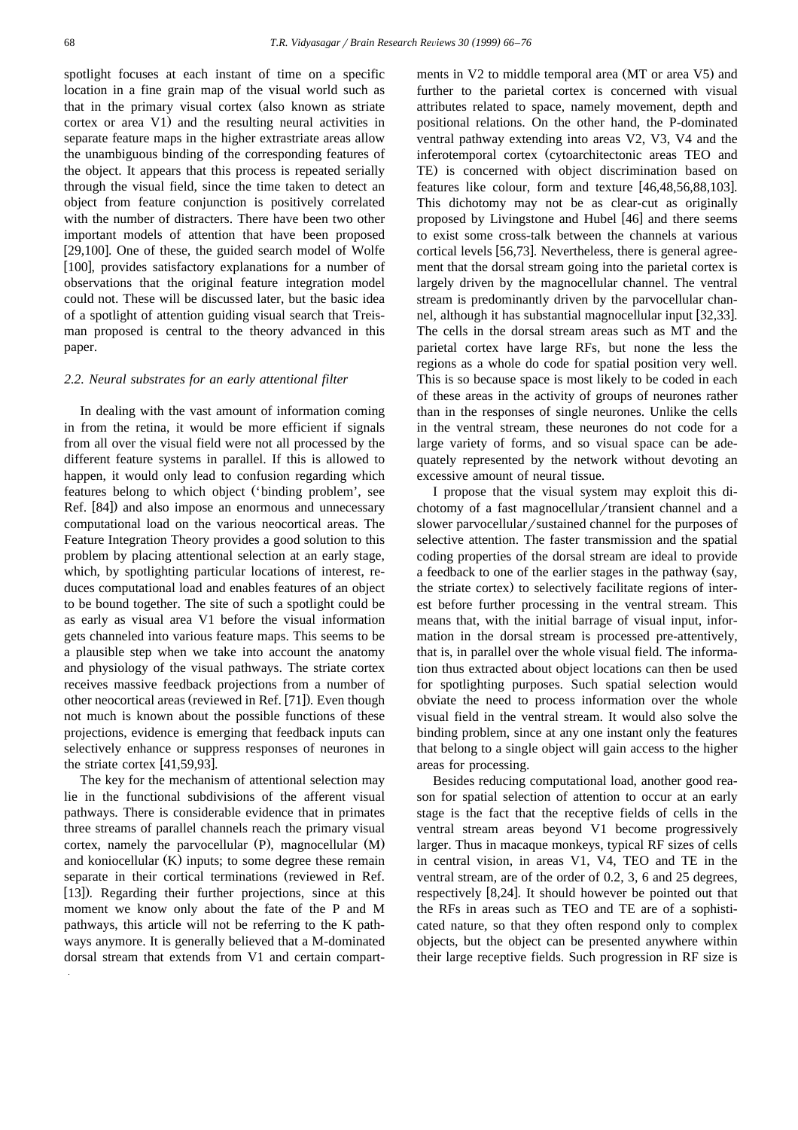spotlight focuses at each instant of time on a specific location in a fine grain map of the visual world such as that in the primary visual cortex (also known as striate cortex or area V1) and the resulting neural activities in separate feature maps in the higher extrastriate areas allow the unambiguous binding of the corresponding features of the object. It appears that this process is repeated serially through the visual field, since the time taken to detect an object from feature conjunction is positively correlated with the number of distracters. There have been two other important models of attention that have been proposed  $[29,100]$ . One of these, the guided search model of Wolfe 100], provides satisfactory explanations for a number of observations that the original feature integration model could not. These will be discussed later, but the basic idea of a spotlight of attention guiding visual search that Treisman proposed is central to the theory advanced in this paper.

## *2.2. Neural substrates for an early attentional filter*

In dealing with the vast amount of information coming in from the retina, it would be more efficient if signals from all over the visual field were not all processed by the different feature systems in parallel. If this is allowed to happen, it would only lead to confusion regarding which features belong to which object ('binding problem', see Ref. [84]) and also impose an enormous and unnecessary computational load on the various neocortical areas. The Feature Integration Theory provides a good solution to this problem by placing attentional selection at an early stage, which, by spotlighting particular locations of interest, reduces computational load and enables features of an object to be bound together. The site of such a spotlight could be as early as visual area V1 before the visual information gets channeled into various feature maps. This seems to be a plausible step when we take into account the anatomy and physiology of the visual pathways. The striate cortex receives massive feedback projections from a number of other neocortical areas (reviewed in Ref. [71]). Even though not much is known about the possible functions of these projections, evidence is emerging that feedback inputs can selectively enhance or suppress responses of neurones in the striate cortex  $[41.59.93]$ .

The key for the mechanism of attentional selection may lie in the functional subdivisions of the afferent visual pathways. There is considerable evidence that in primates three streams of parallel channels reach the primary visual cortex, namely the parvocellular  $(P)$ , magnocellular  $(M)$ and koniocellular  $(K)$  inputs; to some degree these remain separate in their cortical terminations (reviewed in Ref.  $[13]$ ). Regarding their further projections, since at this moment we know only about the fate of the P and M pathways, this article will not be referring to the K pathways anymore. It is generally believed that a M-dominated dorsal stream that extends from V1 and certain compart-

ments in V2 to middle temporal area (MT or area V5) and further to the parietal cortex is concerned with visual attributes related to space, namely movement, depth and positional relations. On the other hand, the P-dominated ventral pathway extending into areas V2, V3, V4 and the inferotemporal cortex (cytoarchitectonic areas TEO and TE) is concerned with object discrimination based on features like colour, form and texture  $[46,48,56,88,103]$ . This dichotomy may not be as clear-cut as originally proposed by Livingstone and Hubel [46] and there seems to exist some cross-talk between the channels at various cortical levels [56,73]. Nevertheless, there is general agreement that the dorsal stream going into the parietal cortex is largely driven by the magnocellular channel. The ventral stream is predominantly driven by the parvocellular channel, although it has substantial magnocellular input [32,33]. The cells in the dorsal stream areas such as MT and the parietal cortex have large RFs, but none the less the regions as a whole do code for spatial position very well. This is so because space is most likely to be coded in each of these areas in the activity of groups of neurones rather than in the responses of single neurones. Unlike the cells in the ventral stream, these neurones do not code for a large variety of forms, and so visual space can be adequately represented by the network without devoting an excessive amount of neural tissue.

I propose that the visual system may exploit this dichotomy of a fast magnocellular/transient channel and a slower parvocellular/sustained channel for the purposes of selective attention. The faster transmission and the spatial coding properties of the dorsal stream are ideal to provide a feedback to one of the earlier stages in the pathway (say, the striate cortex) to selectively facilitate regions of interest before further processing in the ventral stream. This means that, with the initial barrage of visual input, information in the dorsal stream is processed pre-attentively, that is, in parallel over the whole visual field. The information thus extracted about object locations can then be used for spotlighting purposes. Such spatial selection would obviate the need to process information over the whole visual field in the ventral stream. It would also solve the binding problem, since at any one instant only the features that belong to a single object will gain access to the higher areas for processing.

Besides reducing computational load, another good reason for spatial selection of attention to occur at an early stage is the fact that the receptive fields of cells in the ventral stream areas beyond V1 become progressively larger. Thus in macaque monkeys, typical RF sizes of cells in central vision, in areas V1, V4, TEO and TE in the ventral stream, are of the order of 0.2, 3, 6 and 25 degrees, respectively  $[8,24]$ . It should however be pointed out that the RFs in areas such as TEO and TE are of a sophisticated nature, so that they often respond only to complex objects, but the object can be presented anywhere within their large receptive fields. Such progression in RF size is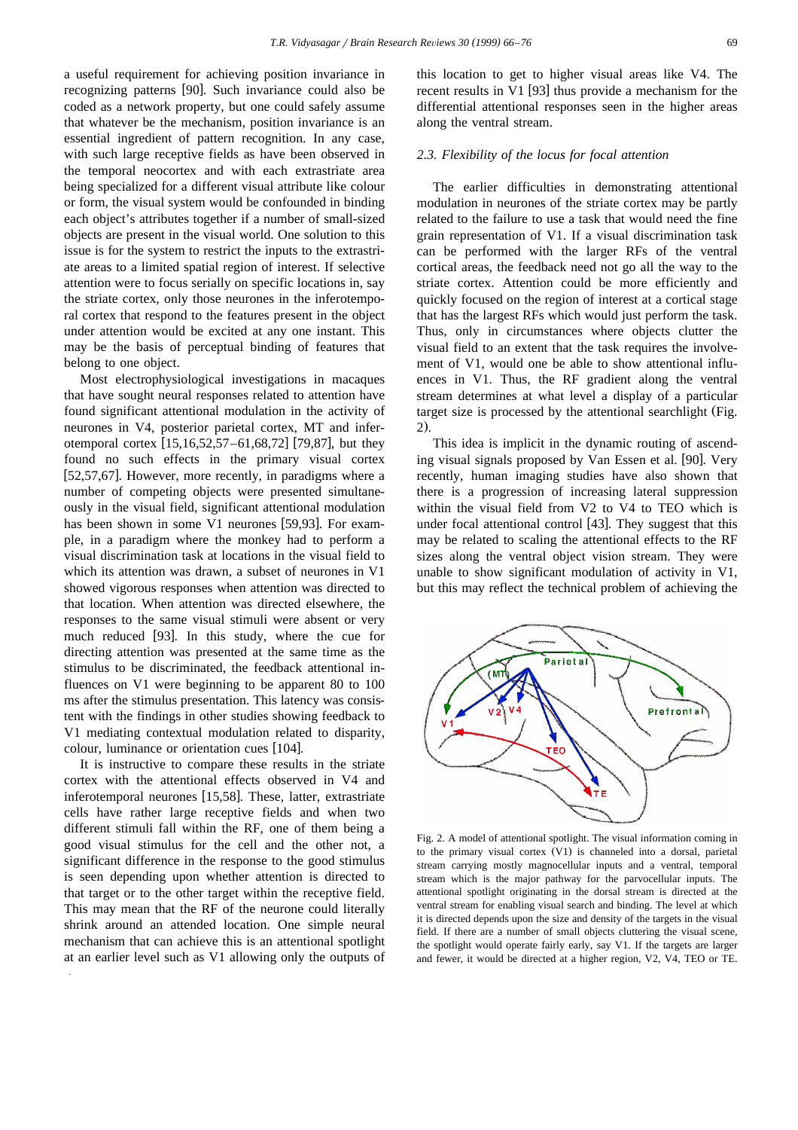a useful requirement for achieving position invariance in recognizing patterns [90]. Such invariance could also be coded as a network property, but one could safely assume that whatever be the mechanism, position invariance is an essential ingredient of pattern recognition. In any case, with such large receptive fields as have been observed in the temporal neocortex and with each extrastriate area being specialized for a different visual attribute like colour or form, the visual system would be confounded in binding each object's attributes together if a number of small-sized objects are present in the visual world. One solution to this issue is for the system to restrict the inputs to the extrastriate areas to a limited spatial region of interest. If selective attention were to focus serially on specific locations in, say the striate cortex, only those neurones in the inferotemporal cortex that respond to the features present in the object under attention would be excited at any one instant. This may be the basis of perceptual binding of features that belong to one object.

Most electrophysiological investigations in macaques that have sought neural responses related to attention have found significant attentional modulation in the activity of neurones in V4, posterior parietal cortex, MT and inferotemporal cortex  $[15, 16, 52, 57-61, 68, 72]$  [79,87], but they found no such effects in the primary visual cortex [52,57,67]. However, more recently, in paradigms where a number of competing objects were presented simultaneously in the visual field, significant attentional modulation has been shown in some V1 neurones [59,93]. For example, in a paradigm where the monkey had to perform a visual discrimination task at locations in the visual field to which its attention was drawn, a subset of neurones in V1 showed vigorous responses when attention was directed to that location. When attention was directed elsewhere, the responses to the same visual stimuli were absent or very much reduced [93]. In this study, where the cue for directing attention was presented at the same time as the stimulus to be discriminated, the feedback attentional influences on V1 were beginning to be apparent 80 to 100 ms after the stimulus presentation. This latency was consistent with the findings in other studies showing feedback to V1 mediating contextual modulation related to disparity, colour, luminance or orientation cues [104].

It is instructive to compare these results in the striate cortex with the attentional effects observed in V4 and inferotemporal neurones  $[15,58]$ . These, latter, extrastriate cells have rather large receptive fields and when two different stimuli fall within the RF, one of them being a good visual stimulus for the cell and the other not, a significant difference in the response to the good stimulus is seen depending upon whether attention is directed to that target or to the other target within the receptive field. This may mean that the RF of the neurone could literally shrink around an attended location. One simple neural mechanism that can achieve this is an attentional spotlight at an earlier level such as V1 allowing only the outputs of

this location to get to higher visual areas like V4. The recent results in  $V1$  [93] thus provide a mechanism for the differential attentional responses seen in the higher areas along the ventral stream.

## *2.3. Flexibility of the locus for focal attention*

The earlier difficulties in demonstrating attentional modulation in neurones of the striate cortex may be partly related to the failure to use a task that would need the fine grain representation of V1. If a visual discrimination task can be performed with the larger RFs of the ventral cortical areas, the feedback need not go all the way to the striate cortex. Attention could be more efficiently and quickly focused on the region of interest at a cortical stage that has the largest RFs which would just perform the task. Thus, only in circumstances where objects clutter the visual field to an extent that the task requires the involvement of V1, would one be able to show attentional influences in V1. Thus, the RF gradient along the ventral stream determines at what level a display of a particular target size is processed by the attentional searchlight (Fig.  $2$ .

This idea is implicit in the dynamic routing of ascending visual signals proposed by Van Essen et al. [90]. Very recently, human imaging studies have also shown that there is a progression of increasing lateral suppression within the visual field from V2 to V4 to TEO which is under focal attentional control [43]. They suggest that this may be related to scaling the attentional effects to the RF sizes along the ventral object vision stream. They were unable to show significant modulation of activity in V1, but this may reflect the technical problem of achieving the



Fig. 2. A model of attentional spotlight. The visual information coming in to the primary visual cortex  $(V1)$  is channeled into a dorsal, parietal stream carrying mostly magnocellular inputs and a ventral, temporal stream which is the major pathway for the parvocellular inputs. The attentional spotlight originating in the dorsal stream is directed at the ventral stream for enabling visual search and binding. The level at which it is directed depends upon the size and density of the targets in the visual field. If there are a number of small objects cluttering the visual scene, the spotlight would operate fairly early, say V1. If the targets are larger and fewer, it would be directed at a higher region, V2, V4, TEO or TE.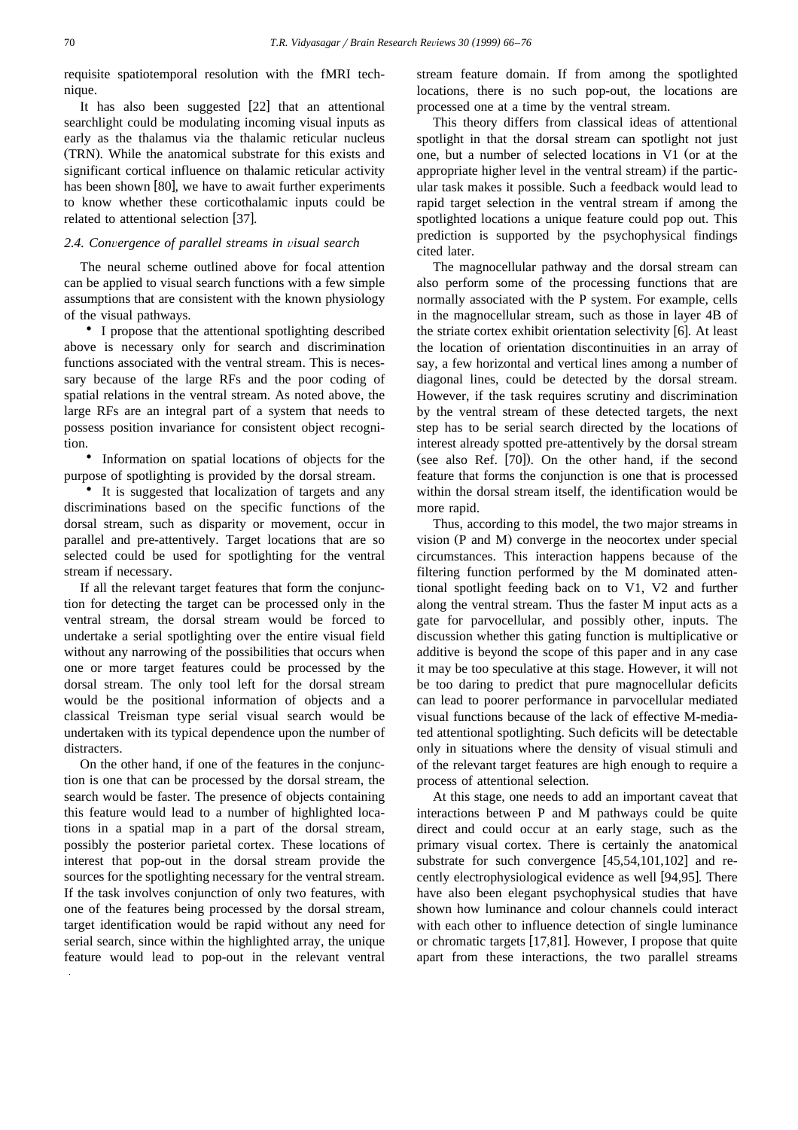requisite spatiotemporal resolution with the fMRI technique.

It has also been suggested  $[22]$  that an attentional searchlight could be modulating incoming visual inputs as early as the thalamus via the thalamic reticular nucleus (TRN). While the anatomical substrate for this exists and significant cortical influence on thalamic reticular activity has been shown [80], we have to await further experiments to know whether these corticothalamic inputs could be related to attentional selection [37].

# 2.4. Convergence of parallel streams in visual search

The neural scheme outlined above for focal attention can be applied to visual search functions with a few simple assumptions that are consistent with the known physiology of the visual pathways.

Ø I propose that the attentional spotlighting described above is necessary only for search and discrimination functions associated with the ventral stream. This is necessary because of the large RFs and the poor coding of spatial relations in the ventral stream. As noted above, the large RFs are an integral part of a system that needs to possess position invariance for consistent object recognition.

Ø Information on spatial locations of objects for the purpose of spotlighting is provided by the dorsal stream.

Ø It is suggested that localization of targets and any discriminations based on the specific functions of the dorsal stream, such as disparity or movement, occur in parallel and pre-attentively. Target locations that are so selected could be used for spotlighting for the ventral stream if necessary.

If all the relevant target features that form the conjunction for detecting the target can be processed only in the ventral stream, the dorsal stream would be forced to undertake a serial spotlighting over the entire visual field without any narrowing of the possibilities that occurs when one or more target features could be processed by the dorsal stream. The only tool left for the dorsal stream would be the positional information of objects and a classical Treisman type serial visual search would be undertaken with its typical dependence upon the number of distracters.

On the other hand, if one of the features in the conjunction is one that can be processed by the dorsal stream, the search would be faster. The presence of objects containing this feature would lead to a number of highlighted locations in a spatial map in a part of the dorsal stream, possibly the posterior parietal cortex. These locations of interest that pop-out in the dorsal stream provide the sources for the spotlighting necessary for the ventral stream. If the task involves conjunction of only two features, with one of the features being processed by the dorsal stream, target identification would be rapid without any need for serial search, since within the highlighted array, the unique feature would lead to pop-out in the relevant ventral

stream feature domain. If from among the spotlighted locations, there is no such pop-out, the locations are processed one at a time by the ventral stream.

This theory differs from classical ideas of attentional spotlight in that the dorsal stream can spotlight not just one, but a number of selected locations in V1 (or at the appropriate higher level in the ventral stream) if the particular task makes it possible. Such a feedback would lead to rapid target selection in the ventral stream if among the spotlighted locations a unique feature could pop out. This prediction is supported by the psychophysical findings cited later.

The magnocellular pathway and the dorsal stream can also perform some of the processing functions that are normally associated with the P system. For example, cells in the magnocellular stream, such as those in layer 4B of the striate cortex exhibit orientation selectivity  $[6]$ . At least the location of orientation discontinuities in an array of say, a few horizontal and vertical lines among a number of diagonal lines, could be detected by the dorsal stream. However, if the task requires scrutiny and discrimination by the ventral stream of these detected targets, the next step has to be serial search directed by the locations of interest already spotted pre-attentively by the dorsal stream (see also Ref.  $[70]$ ). On the other hand, if the second feature that forms the conjunction is one that is processed within the dorsal stream itself, the identification would be more rapid.

Thus, according to this model, the two major streams in vision  $(P \text{ and } M)$  converge in the neocortex under special circumstances. This interaction happens because of the filtering function performed by the M dominated attentional spotlight feeding back on to V1, V2 and further along the ventral stream. Thus the faster M input acts as a gate for parvocellular, and possibly other, inputs. The discussion whether this gating function is multiplicative or additive is beyond the scope of this paper and in any case it may be too speculative at this stage. However, it will not be too daring to predict that pure magnocellular deficits can lead to poorer performance in parvocellular mediated visual functions because of the lack of effective M-mediated attentional spotlighting. Such deficits will be detectable only in situations where the density of visual stimuli and of the relevant target features are high enough to require a process of attentional selection.

At this stage, one needs to add an important caveat that interactions between P and M pathways could be quite direct and could occur at an early stage, such as the primary visual cortex. There is certainly the anatomical substrate for such convergence  $[45,54,101,102]$  and recently electrophysiological evidence as well [94,95]. There have also been elegant psychophysical studies that have shown how luminance and colour channels could interact with each other to influence detection of single luminance or chromatic targets  $[17,81]$ . However, I propose that quite apart from these interactions, the two parallel streams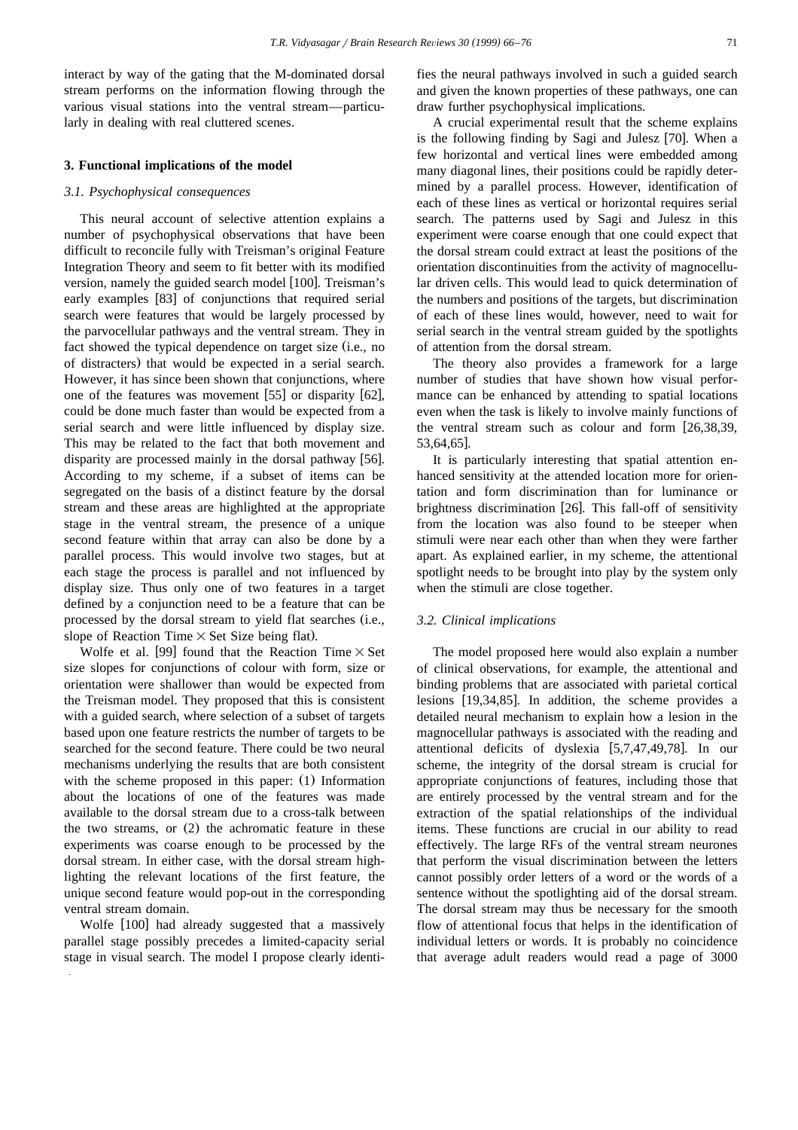interact by way of the gating that the M-dominated dorsal stream performs on the information flowing through the various visual stations into the ventral stream—particularly in dealing with real cluttered scenes.

#### **3. Functional implications of the model**

#### *3.1. Psychophysical consequences*

This neural account of selective attention explains a number of psychophysical observations that have been difficult to reconcile fully with Treisman's original Feature Integration Theory and seem to fit better with its modified version, namely the guided search model [100]. Treisman's early examples [83] of conjunctions that required serial search were features that would be largely processed by the parvocellular pathways and the ventral stream. They in fact showed the typical dependence on target size (i.e., no of distracters) that would be expected in a serial search. However, it has since been shown that conjunctions, where one of the features was movement  $[55]$  or disparity  $[62]$ , could be done much faster than would be expected from a serial search and were little influenced by display size. This may be related to the fact that both movement and disparity are processed mainly in the dorsal pathway [56]. According to my scheme, if a subset of items can be segregated on the basis of a distinct feature by the dorsal stream and these areas are highlighted at the appropriate stage in the ventral stream, the presence of a unique second feature within that array can also be done by a parallel process. This would involve two stages, but at each stage the process is parallel and not influenced by display size. Thus only one of two features in a target defined by a conjunction need to be a feature that can be processed by the dorsal stream to yield flat searches (i.e., slope of Reaction Time  $\times$  Set Size being flat).

Wolfe et al. [99] found that the Reaction Time  $\times$  Set size slopes for conjunctions of colour with form, size or orientation were shallower than would be expected from the Treisman model. They proposed that this is consistent with a guided search, where selection of a subset of targets based upon one feature restricts the number of targets to be searched for the second feature. There could be two neural mechanisms underlying the results that are both consistent with the scheme proposed in this paper:  $(1)$  Information about the locations of one of the features was made available to the dorsal stream due to a cross-talk between the two streams, or  $(2)$  the achromatic feature in these experiments was coarse enough to be processed by the dorsal stream. In either case, with the dorsal stream highlighting the relevant locations of the first feature, the unique second feature would pop-out in the corresponding ventral stream domain.

Wolfe [100] had already suggested that a massively parallel stage possibly precedes a limited-capacity serial stage in visual search. The model I propose clearly identi-

fies the neural pathways involved in such a guided search and given the known properties of these pathways, one can draw further psychophysical implications.

A crucial experimental result that the scheme explains is the following finding by Sagi and Julesz [70]. When a few horizontal and vertical lines were embedded among many diagonal lines, their positions could be rapidly determined by a parallel process. However, identification of each of these lines as vertical or horizontal requires serial search. The patterns used by Sagi and Julesz in this experiment were coarse enough that one could expect that the dorsal stream could extract at least the positions of the orientation discontinuities from the activity of magnocellular driven cells. This would lead to quick determination of the numbers and positions of the targets, but discrimination of each of these lines would, however, need to wait for serial search in the ventral stream guided by the spotlights of attention from the dorsal stream.

The theory also provides a framework for a large number of studies that have shown how visual performance can be enhanced by attending to spatial locations even when the task is likely to involve mainly functions of the ventral stream such as colour and form  $[26,38,39]$ ,  $53,64,65$ .

It is particularly interesting that spatial attention enhanced sensitivity at the attended location more for orientation and form discrimination than for luminance or brightness discrimination  $[26]$ . This fall-off of sensitivity from the location was also found to be steeper when stimuli were near each other than when they were farther apart. As explained earlier, in my scheme, the attentional spotlight needs to be brought into play by the system only when the stimuli are close together.

## *3.2. Clinical implications*

The model proposed here would also explain a number of clinical observations, for example, the attentional and binding problems that are associated with parietal cortical lesions  $[19,34,85]$ . In addition, the scheme provides a detailed neural mechanism to explain how a lesion in the magnocellular pathways is associated with the reading and attentional deficits of dyslexia  $[5,7,47,49,78]$ . In our scheme, the integrity of the dorsal stream is crucial for appropriate conjunctions of features, including those that are entirely processed by the ventral stream and for the extraction of the spatial relationships of the individual items. These functions are crucial in our ability to read effectively. The large RFs of the ventral stream neurones that perform the visual discrimination between the letters cannot possibly order letters of a word or the words of a sentence without the spotlighting aid of the dorsal stream. The dorsal stream may thus be necessary for the smooth flow of attentional focus that helps in the identification of individual letters or words. It is probably no coincidence that average adult readers would read a page of 3000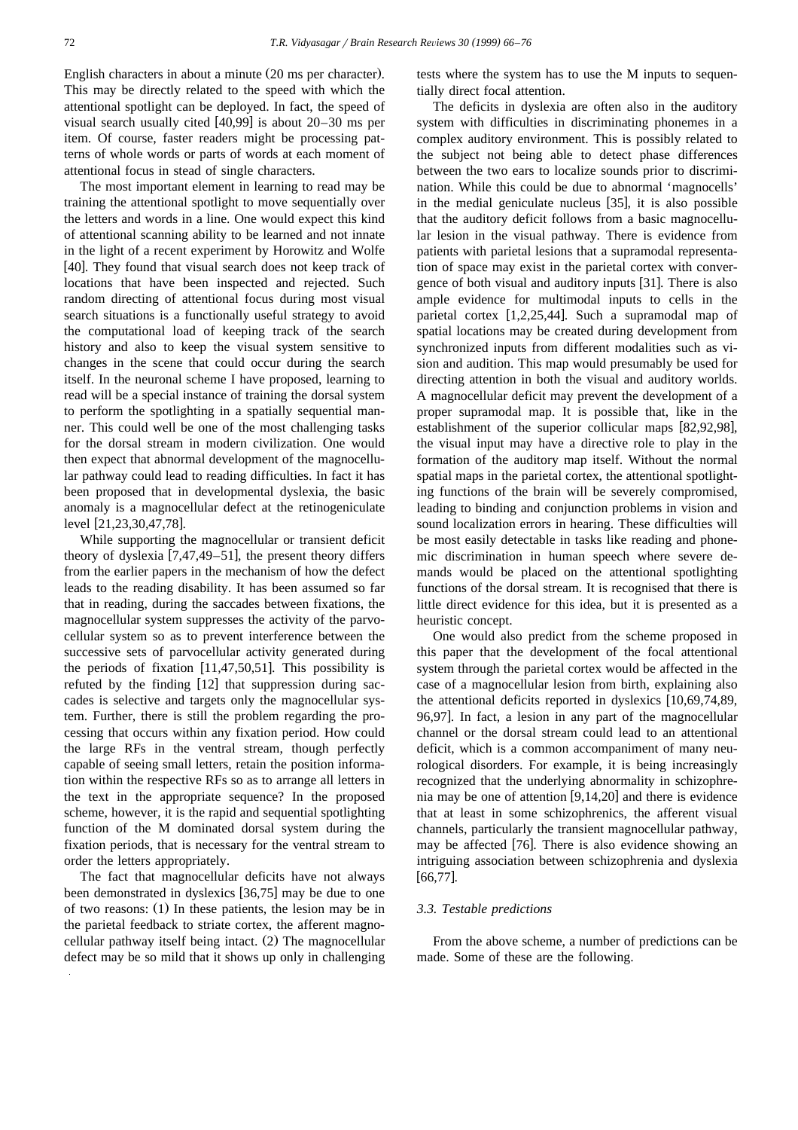English characters in about a minute (20 ms per character). This may be directly related to the speed with which the attentional spotlight can be deployed. In fact, the speed of visual search usually cited  $[40,99]$  is about 20–30 ms per item. Of course, faster readers might be processing patterns of whole words or parts of words at each moment of attentional focus in stead of single characters.

The most important element in learning to read may be training the attentional spotlight to move sequentially over the letters and words in a line. One would expect this kind of attentional scanning ability to be learned and not innate in the light of a recent experiment by Horowitz and Wolfe  $[40]$ . They found that visual search does not keep track of locations that have been inspected and rejected. Such random directing of attentional focus during most visual search situations is a functionally useful strategy to avoid the computational load of keeping track of the search history and also to keep the visual system sensitive to changes in the scene that could occur during the search itself. In the neuronal scheme I have proposed, learning to read will be a special instance of training the dorsal system to perform the spotlighting in a spatially sequential manner. This could well be one of the most challenging tasks for the dorsal stream in modern civilization. One would then expect that abnormal development of the magnocellular pathway could lead to reading difficulties. In fact it has been proposed that in developmental dyslexia, the basic anomaly is a magnocellular defect at the retinogeniculate level  $[21, 23, 30, 47, 78]$ .

While supporting the magnocellular or transient deficit theory of dyslexia  $[7,47,49-51]$ , the present theory differs from the earlier papers in the mechanism of how the defect leads to the reading disability. It has been assumed so far that in reading, during the saccades between fixations, the magnocellular system suppresses the activity of the parvocellular system so as to prevent interference between the successive sets of parvocellular activity generated during the periods of fixation  $[11,47,50,51]$ . This possibility is refuted by the finding  $[12]$  that suppression during saccades is selective and targets only the magnocellular system. Further, there is still the problem regarding the processing that occurs within any fixation period. How could the large RFs in the ventral stream, though perfectly capable of seeing small letters, retain the position information within the respective RFs so as to arrange all letters in the text in the appropriate sequence? In the proposed scheme, however, it is the rapid and sequential spotlighting function of the M dominated dorsal system during the fixation periods, that is necessary for the ventral stream to order the letters appropriately.

The fact that magnocellular deficits have not always been demonstrated in dyslexics [36,75] may be due to one of two reasons:  $(1)$  In these patients, the lesion may be in the parietal feedback to striate cortex, the afferent magnocellular pathway itself being intact.  $(2)$  The magnocellular defect may be so mild that it shows up only in challenging

tests where the system has to use the M inputs to sequentially direct focal attention.

The deficits in dyslexia are often also in the auditory system with difficulties in discriminating phonemes in a complex auditory environment. This is possibly related to the subject not being able to detect phase differences between the two ears to localize sounds prior to discrimination. While this could be due to abnormal 'magnocells' in the medial geniculate nucleus  $[35]$ , it is also possible that the auditory deficit follows from a basic magnocellular lesion in the visual pathway. There is evidence from patients with parietal lesions that a supramodal representation of space may exist in the parietal cortex with convergence of both visual and auditory inputs [31]. There is also ample evidence for multimodal inputs to cells in the parietal cortex  $[1,2,25,44]$ . Such a supramodal map of spatial locations may be created during development from synchronized inputs from different modalities such as vision and audition. This map would presumably be used for directing attention in both the visual and auditory worlds. A magnocellular deficit may prevent the development of a proper supramodal map. It is possible that, like in the establishment of the superior collicular maps [82,92,98], the visual input may have a directive role to play in the formation of the auditory map itself. Without the normal spatial maps in the parietal cortex, the attentional spotlighting functions of the brain will be severely compromised, leading to binding and conjunction problems in vision and sound localization errors in hearing. These difficulties will be most easily detectable in tasks like reading and phonemic discrimination in human speech where severe demands would be placed on the attentional spotlighting functions of the dorsal stream. It is recognised that there is little direct evidence for this idea, but it is presented as a heuristic concept.

One would also predict from the scheme proposed in this paper that the development of the focal attentional system through the parietal cortex would be affected in the case of a magnocellular lesion from birth, explaining also the attentional deficits reported in dyslexics  $[10,69,74,89,$ 96,97. In fact, a lesion in any part of the magnocellular channel or the dorsal stream could lead to an attentional deficit, which is a common accompaniment of many neurological disorders. For example, it is being increasingly recognized that the underlying abnormality in schizophrenia may be one of attention  $[9,14,20]$  and there is evidence that at least in some schizophrenics, the afferent visual channels, particularly the transient magnocellular pathway, may be affected [76]. There is also evidence showing an intriguing association between schizophrenia and dyslexia  $[66, 77]$ .

## *3.3. Testable predictions*

From the above scheme, a number of predictions can be made. Some of these are the following.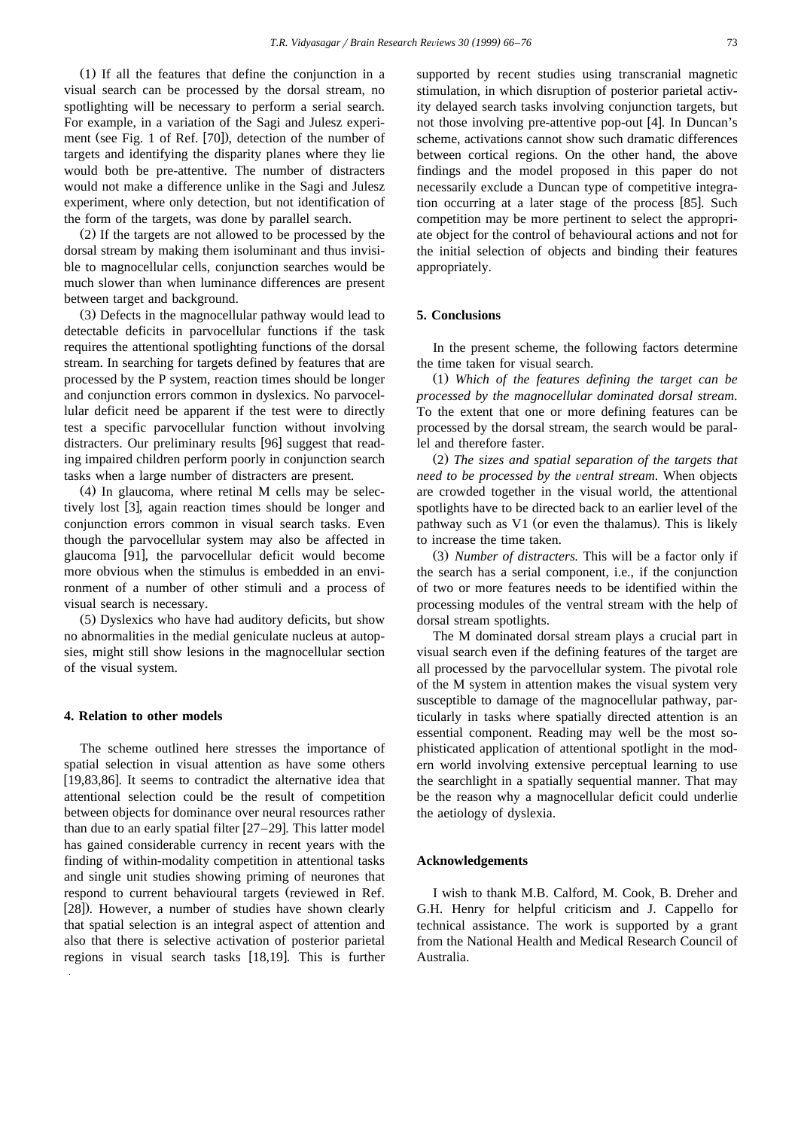$(1)$  If all the features that define the conjunction in a visual search can be processed by the dorsal stream, no spotlighting will be necessary to perform a serial search. For example, in a variation of the Sagi and Julesz experiment (see Fig. 1 of Ref. [70]), detection of the number of targets and identifying the disparity planes where they lie would both be pre-attentive. The number of distracters would not make a difference unlike in the Sagi and Julesz experiment, where only detection, but not identification of the form of the targets, was done by parallel search.

(2) If the targets are not allowed to be processed by the dorsal stream by making them isoluminant and thus invisible to magnocellular cells, conjunction searches would be much slower than when luminance differences are present between target and background.

(3) Defects in the magnocellular pathway would lead to detectable deficits in parvocellular functions if the task requires the attentional spotlighting functions of the dorsal stream. In searching for targets defined by features that are processed by the P system, reaction times should be longer and conjunction errors common in dyslexics. No parvocellular deficit need be apparent if the test were to directly test a specific parvocellular function without involving distracters. Our preliminary results [96] suggest that reading impaired children perform poorly in conjunction search tasks when a large number of distracters are present.

 $(4)$  In glaucoma, where retinal M cells may be selectively lost [3], again reaction times should be longer and conjunction errors common in visual search tasks. Even though the parvocellular system may also be affected in glaucoma [91], the parvocellular deficit would become more obvious when the stimulus is embedded in an environment of a number of other stimuli and a process of visual search is necessary.

(5) Dyslexics who have had auditory deficits, but show no abnormalities in the medial geniculate nucleus at autopsies, might still show lesions in the magnocellular section of the visual system.

# **4. Relation to other models**

The scheme outlined here stresses the importance of spatial selection in visual attention as have some others  $\overline{19,83,86}$ . It seems to contradict the alternative idea that attentional selection could be the result of competition between objects for dominance over neural resources rather than due to an early spatial filter  $[27-29]$ . This latter model has gained considerable currency in recent years with the finding of within-modality competition in attentional tasks and single unit studies showing priming of neurones that respond to current behavioural targets (reviewed in Ref.  $[28]$ ). However, a number of studies have shown clearly that spatial selection is an integral aspect of attention and also that there is selective activation of posterior parietal regions in visual search tasks  $[18,19]$ . This is further

supported by recent studies using transcranial magnetic stimulation, in which disruption of posterior parietal activity delayed search tasks involving conjunction targets, but not those involving pre-attentive pop-out [4]. In Duncan's scheme, activations cannot show such dramatic differences between cortical regions. On the other hand, the above findings and the model proposed in this paper do not necessarily exclude a Duncan type of competitive integration occurring at a later stage of the process [85]. Such competition may be more pertinent to select the appropriate object for the control of behavioural actions and not for the initial selection of objects and binding their features appropriately.

# **5. Conclusions**

In the present scheme, the following factors determine the time taken for visual search.

Ž . 1 *Which of the features defining the target can be processed by the magnocellular dominated dorsal stream*. To the extent that one or more defining features can be processed by the dorsal stream, the search would be parallel and therefore faster.

Ž . 2 *The sizes and spatial separation of the targets that need to be processed by the ventral stream.* When objects are crowded together in the visual world, the attentional spotlights have to be directed back to an earlier level of the pathway such as V1 (or even the thalamus). This is likely to increase the time taken.

Ž . 3 *Number of distracters.* This will be a factor only if the search has a serial component, i.e., if the conjunction of two or more features needs to be identified within the processing modules of the ventral stream with the help of dorsal stream spotlights.

The M dominated dorsal stream plays a crucial part in visual search even if the defining features of the target are all processed by the parvocellular system. The pivotal role of the M system in attention makes the visual system very susceptible to damage of the magnocellular pathway, particularly in tasks where spatially directed attention is an essential component. Reading may well be the most sophisticated application of attentional spotlight in the modern world involving extensive perceptual learning to use the searchlight in a spatially sequential manner. That may be the reason why a magnocellular deficit could underlie the aetiology of dyslexia.

# **Acknowledgements**

I wish to thank M.B. Calford, M. Cook, B. Dreher and G.H. Henry for helpful criticism and J. Cappello for technical assistance. The work is supported by a grant from the National Health and Medical Research Council of Australia.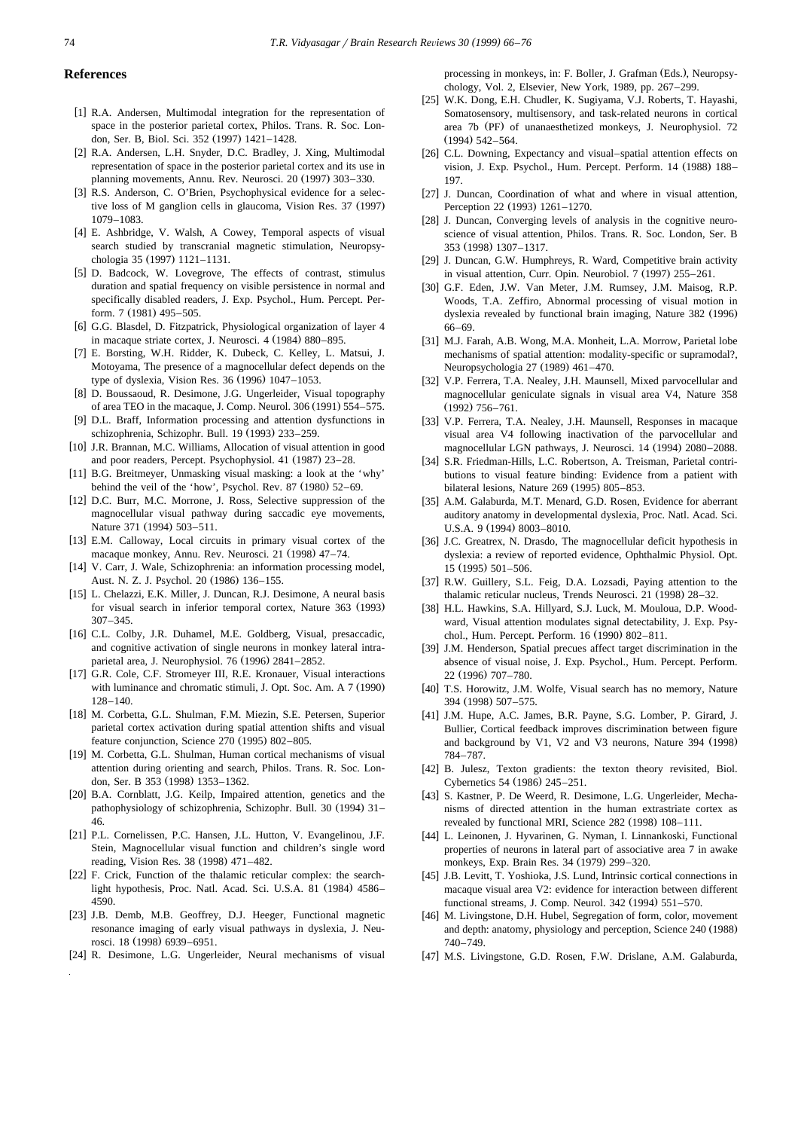## **References**

- [1] R.A. Andersen, Multimodal integration for the representation of space in the posterior parietal cortex, Philos. Trans. R. Soc. London, Ser. B, Biol. Sci. 352 (1997) 1421-1428.
- [2] R.A. Andersen, L.H. Snyder, D.C. Bradley, J. Xing, Multimodal representation of space in the posterior parietal cortex and its use in planning movements, Annu. Rev. Neurosci. 20 (1997) 303-330.
- [3] R.S. Anderson, C. O'Brien, Psychophysical evidence for a selective loss of M ganglion cells in glaucoma, Vision Res.  $37$  (1997) 1079–1083.
- [4] E. Ashbridge, V. Walsh, A Cowey, Temporal aspects of visual search studied by transcranial magnetic stimulation, Neuropsychologia 35 (1997) 1121-1131.
- [5] D. Badcock, W. Lovegrove, The effects of contrast, stimulus duration and spatial frequency on visible persistence in normal and specifically disabled readers, J. Exp. Psychol., Hum. Percept. Perform. 7 (1981) 495-505.
- [6] G.G. Blasdel, D. Fitzpatrick, Physiological organization of layer 4 in macaque striate cortex, J. Neurosci.  $4(1984) 880-895$ .
- [7] E. Borsting, W.H. Ridder, K. Dubeck, C. Kelley, L. Matsui, J. Motoyama, The presence of a magnocellular defect depends on the type of dyslexia, Vision Res. 36 (1996) 1047–1053.
- [8] D. Boussaoud, R. Desimone, J.G. Ungerleider, Visual topography of area TEO in the macaque, J. Comp. Neurol. 306 (1991) 554-575.
- [9] D.L. Braff, Information processing and attention dysfunctions in schizophrenia, Schizophr. Bull. 19 (1993) 233-259.
- [10] J.R. Brannan, M.C. Williams, Allocation of visual attention in good and poor readers, Percept. Psychophysiol. 41 (1987) 23-28.
- [11] B.G. Breitmeyer, Unmasking visual masking: a look at the 'why' behind the veil of the 'how', Psychol. Rev.  $87$  (1980)  $52-69$ .
- [12] D.C. Burr, M.C. Morrone, J. Ross, Selective suppression of the magnocellular visual pathway during saccadic eye movements, Nature 371 (1994) 503-511.
- [13] E.M. Calloway, Local circuits in primary visual cortex of the macaque monkey, Annu. Rev. Neurosci. 21 (1998)  $47-74$ .
- [14] V. Carr, J. Wale, Schizophrenia: an information processing model, Aust. N. Z. J. Psychol. 20 (1986) 136-155.
- [15] L. Chelazzi, E.K. Miller, J. Duncan, R.J. Desimone, A neural basis for visual search in inferior temporal cortex, Nature 363 (1993) 307–345.
- [16] C.L. Colby, J.R. Duhamel, M.E. Goldberg, Visual, presaccadic, and cognitive activation of single neurons in monkey lateral intraparietal area, J. Neurophysiol. 76 (1996) 2841-2852.
- [17] G.R. Cole, C.F. Stromeyer III, R.E. Kronauer, Visual interactions with luminance and chromatic stimuli, J. Opt. Soc. Am. A  $7(1990)$ 128–140.
- [18] M. Corbetta, G.L. Shulman, F.M. Miezin, S.E. Petersen, Superior parietal cortex activation during spatial attention shifts and visual feature conjunction, Science  $270$  (1995) 802–805.
- [19] M. Corbetta, G.L. Shulman, Human cortical mechanisms of visual attention during orienting and search, Philos. Trans. R. Soc. London, Ser. B 353 (1998) 1353-1362.
- [20] B.A. Cornblatt, J.G. Keilp, Impaired attention, genetics and the pathophysiology of schizophrenia, Schizophr. Bull. 30 (1994) 31-46.
- [21] P.L. Cornelissen, P.C. Hansen, J.L. Hutton, V. Evangelinou, J.F. Stein, Magnocellular visual function and children's single word reading, Vision Res. 38 (1998) 471-482.
- [22] F. Crick, Function of the thalamic reticular complex: the searchlight hypothesis, Proc. Natl. Acad. Sci. U.S.A. 81 (1984) 4586– 4590.
- [23] J.B. Demb, M.B. Geoffrey, D.J. Heeger, Functional magnetic resonance imaging of early visual pathways in dyslexia, J. Neurosci. 18 (1998) 6939-6951.
- [24] R. Desimone, L.G. Ungerleider, Neural mechanisms of visual

processing in monkeys, in: F. Boller, J. Grafman (Eds.), Neuropsychology, Vol. 2, Elsevier, New York, 1989, pp. 267–299.

- [25] W.K. Dong, E.H. Chudler, K. Sugiyama, V.J. Roberts, T. Hayashi, Somatosensory, multisensory, and task-related neurons in cortical area 7b (PF) of unanaesthetized monkeys, J. Neurophysiol. 72  $(1994)$  542–564.
- [26] C.L. Downing, Expectancy and visual–spatial attention effects on vision, J. Exp. Psychol., Hum. Percept. Perform. 14 (1988) 188– 197.
- [27] J. Duncan, Coordination of what and where in visual attention, Perception 22 (1993) 1261–1270.
- [28] J. Duncan, Converging levels of analysis in the cognitive neuroscience of visual attention, Philos. Trans. R. Soc. London, Ser. B 353 (1998) 1307-1317.
- [29] J. Duncan, G.W. Humphreys, R. Ward, Competitive brain activity in visual attention, Curr. Opin. Neurobiol.  $7(1997)$   $255-261$ .
- [30] G.F. Eden, J.W. Van Meter, J.M. Rumsey, J.M. Maisog, R.P. Woods, T.A. Zeffiro, Abnormal processing of visual motion in dyslexia revealed by functional brain imaging, Nature 382 (1996) 66–69.
- [31] M.J. Farah, A.B. Wong, M.A. Monheit, L.A. Morrow, Parietal lobe mechanisms of spatial attention: modality-specific or supramodal?, Neuropsychologia 27 (1989) 461–470.
- [32] V.P. Ferrera, T.A. Nealey, J.H. Maunsell, Mixed parvocellular and magnocellular geniculate signals in visual area V4, Nature 358  $(1992)$  756–761.
- [33] V.P. Ferrera, T.A. Nealey, J.H. Maunsell, Responses in macaque visual area V4 following inactivation of the parvocellular and magnocellular LGN pathways, J. Neurosci. 14 (1994) 2080–2088.
- [34] S.R. Friedman-Hills, L.C. Robertson, A. Treisman, Parietal contributions to visual feature binding: Evidence from a patient with bilateral lesions, Nature 269 (1995) 805-853.
- [35] A.M. Galaburda, M.T. Menard, G.D. Rosen, Evidence for aberrant auditory anatomy in developmental dyslexia, Proc. Natl. Acad. Sci. U.S.A. 9 (1994) 8003-8010.
- [36] J.C. Greatrex, N. Drasdo, The magnocellular deficit hypothesis in dyslexia: a review of reported evidence, Ophthalmic Physiol. Opt. 15 (1995) 501-506.
- [37] R.W. Guillery, S.L. Feig, D.A. Lozsadi, Paying attention to the thalamic reticular nucleus, Trends Neurosci. 21 (1998) 28-32.
- [38] H.L. Hawkins, S.A. Hillyard, S.J. Luck, M. Mouloua, D.P. Woodward, Visual attention modulates signal detectability, J. Exp. Psychol., Hum. Percept. Perform. 16 (1990) 802-811.
- [39] J.M. Henderson, Spatial precues affect target discrimination in the absence of visual noise, J. Exp. Psychol., Hum. Percept. Perform. 22 (1996) 707-780.
- [40] T.S. Horowitz, J.M. Wolfe, Visual search has no memory, Nature 394 (1998) 507–575.
- [41] J.M. Hupe, A.C. James, B.R. Payne, S.G. Lomber, P. Girard, J. Bullier, Cortical feedback improves discrimination between figure and background by  $V1$ ,  $V2$  and  $V3$  neurons, Nature 394 (1998) 784–787.
- [42] B. Julesz, Texton gradients: the texton theory revisited, Biol. Cybernetics 54 (1986) 245-251.
- [43] S. Kastner, P. De Weerd, R. Desimone, L.G. Ungerleider, Mechanisms of directed attention in the human extrastriate cortex as revealed by functional MRI, Science 282 (1998) 108-111.
- [44] L. Leinonen, J. Hyvarinen, G. Nyman, I. Linnankoski, Functional properties of neurons in lateral part of associative area 7 in awake monkeys, Exp. Brain Res. 34 (1979) 299–320.
- [45] J.B. Levitt, T. Yoshioka, J.S. Lund, Intrinsic cortical connections in macaque visual area V2: evidence for interaction between different functional streams, J. Comp. Neurol. 342 (1994) 551-570.
- [46] M. Livingstone, D.H. Hubel, Segregation of form, color, movement and depth: anatomy, physiology and perception, Science 240 (1988) 740–749.
- [47] M.S. Livingstone, G.D. Rosen, F.W. Drislane, A.M. Galaburda,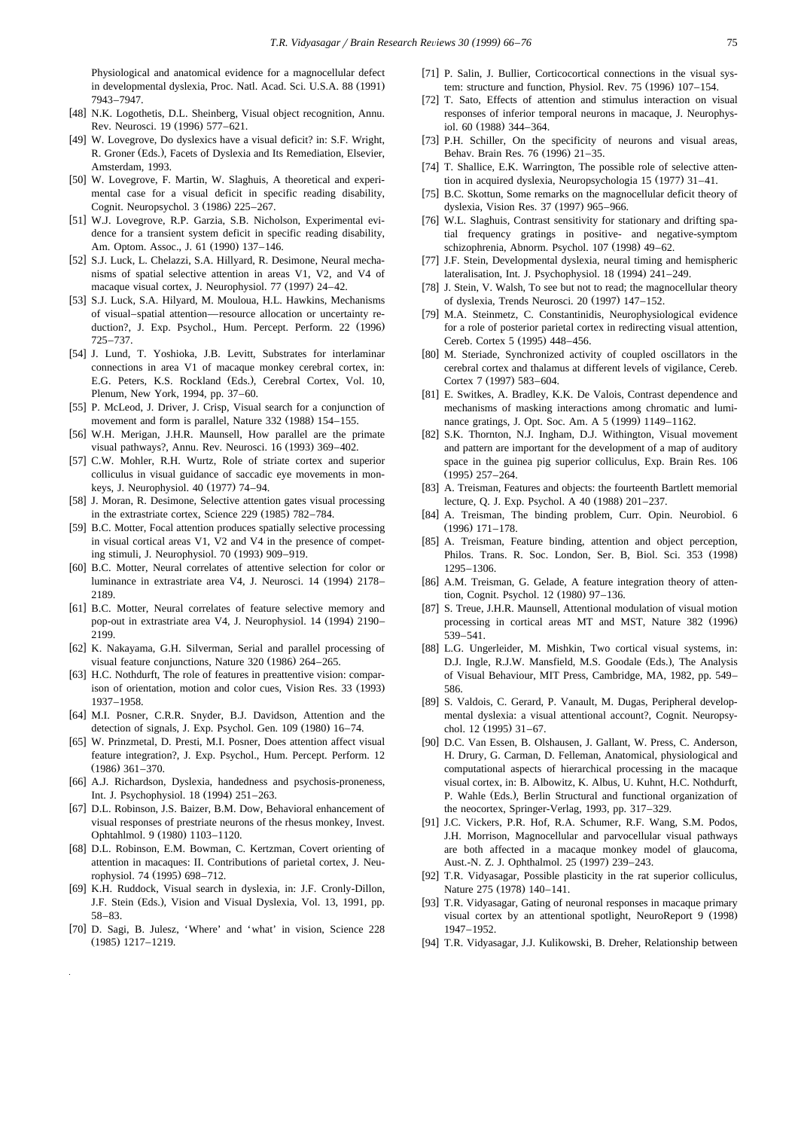Physiological and anatomical evidence for a magnocellular defect in developmental dyslexia, Proc. Natl. Acad. Sci. U.S.A. 88 (1991) 7943–7947.

- [48] N.K. Logothetis, D.L. Sheinberg, Visual object recognition, Annu. Rev. Neurosci. 19 (1996) 577-621.
- [49] W. Lovegrove, Do dyslexics have a visual deficit? in: S.F. Wright, R. Groner (Eds.), Facets of Dyslexia and Its Remediation, Elsevier, Amsterdam, 1993.
- [50] W. Lovegrove, F. Martin, W. Slaghuis, A theoretical and experimental case for a visual deficit in specific reading disability, Cognit. Neuropsychol. 3 (1986) 225–267.
- [51] W.J. Lovegrove, R.P. Garzia, S.B. Nicholson, Experimental evidence for a transient system deficit in specific reading disability, Am. Optom. Assoc., J. 61 (1990) 137-146.
- [52] S.J. Luck, L. Chelazzi, S.A. Hillyard, R. Desimone, Neural mechanisms of spatial selective attention in areas V1, V2, and V4 of macaque visual cortex, J. Neurophysiol. 77 (1997) 24-42.
- [53] S.J. Luck, S.A. Hilyard, M. Mouloua, H.L. Hawkins, Mechanisms of visual–spatial attention—resource allocation or uncertainty reduction?, J. Exp. Psychol., Hum. Percept. Perform. 22 (1996) 725–737.
- [54] J. Lund, T. Yoshioka, J.B. Levitt, Substrates for interlaminar connections in area V1 of macaque monkey cerebral cortex, in: E.G. Peters, K.S. Rockland (Eds.), Cerebral Cortex, Vol. 10, Plenum, New York, 1994, pp. 37–60.
- [55] P. McLeod, J. Driver, J. Crisp, Visual search for a conjunction of movement and form is parallel, Nature  $332$  (1988) 154–155.
- [56] W.H. Merigan, J.H.R. Maunsell, How parallel are the primate visual pathways?, Annu. Rev. Neurosci. 16 (1993) 369-402.
- [57] C.W. Mohler, R.H. Wurtz, Role of striate cortex and superior colliculus in visual guidance of saccadic eye movements in monkeys, J. Neurophysiol. 40 (1977) 74–94.
- [58] J. Moran, R. Desimone, Selective attention gates visual processing in the extrastriate cortex, Science  $229$  (1985) 782-784.
- [59] B.C. Motter, Focal attention produces spatially selective processing in visual cortical areas V1, V2 and V4 in the presence of competing stimuli, J. Neurophysiol. 70 (1993) 909–919.
- [60] B.C. Motter, Neural correlates of attentive selection for color or luminance in extrastriate area V4, J. Neurosci. 14 (1994) 2178– 2189.
- [61] B.C. Motter, Neural correlates of feature selective memory and pop-out in extrastriate area V4, J. Neurophysiol. 14 (1994) 2190-2199.
- [62] K. Nakayama, G.H. Silverman, Serial and parallel processing of visual feature conjunctions, Nature  $320$  (1986)  $264-265$ .
- [63] H.C. Nothdurft, The role of features in preattentive vision: comparison of orientation, motion and color cues, Vision Res. 33 (1993) 1937–1958.
- [64] M.I. Posner, C.R.R. Snyder, B.J. Davidson, Attention and the detection of signals, J. Exp. Psychol. Gen. 109 (1980) 16-74.
- [65] W. Prinzmetal, D. Presti, M.I. Posner, Does attention affect visual feature integration?, J. Exp. Psychol., Hum. Percept. Perform. 12  $(1986)$  361–370.
- [66] A.J. Richardson, Dyslexia, handedness and psychosis-proneness, Int. J. Psychophysiol. 18 (1994) 251-263.
- [67] D.L. Robinson, J.S. Baizer, B.M. Dow, Behavioral enhancement of visual responses of prestriate neurons of the rhesus monkey, Invest. Ophtahlmol. 9 (1980) 1103-1120.
- [68] D.L. Robinson, E.M. Bowman, C. Kertzman, Covert orienting of attention in macaques: II. Contributions of parietal cortex, J. Neurophysiol. 74 (1995) 698-712.
- [69] K.H. Ruddock, Visual search in dyslexia, in: J.F. Cronly-Dillon, J.F. Stein (Eds.), Vision and Visual Dyslexia, Vol. 13, 1991, pp. 58–83.
- [70] D. Sagi, B. Julesz, 'Where' and 'what' in vision, Science 228  $(1985)$  1217–1219.
- [71] P. Salin, J. Bullier, Corticocortical connections in the visual system: structure and function, Physiol. Rev.  $75$  (1996) 107-154.
- [72] T. Sato, Effects of attention and stimulus interaction on visual responses of inferior temporal neurons in macaque, J. Neurophysiol. 60 (1988) 344-364.
- [73] P.H. Schiller, On the specificity of neurons and visual areas, Behav. Brain Res. 76 (1996) 21-35.
- [74] T. Shallice, E.K. Warrington, The possible role of selective attention in acquired dyslexia, Neuropsychologia 15 (1977) 31-41.
- [75] B.C. Skottun, Some remarks on the magnocellular deficit theory of dyslexia, Vision Res. 37 (1997) 965–966.
- [76] W.L. Slaghuis, Contrast sensitivity for stationary and drifting spatial frequency gratings in positive- and negative-symptom schizophrenia, Abnorm. Psychol. 107 (1998) 49-62.
- [77] J.F. Stein, Developmental dyslexia, neural timing and hemispheric lateralisation, Int. J. Psychophysiol. 18 (1994) 241-249.
- [78] J. Stein, V. Walsh, To see but not to read; the magnocellular theory of dyslexia, Trends Neurosci. 20 (1997) 147-152.
- [79] M.A. Steinmetz, C. Constantinidis, Neurophysiological evidence for a role of posterior parietal cortex in redirecting visual attention, Cereb. Cortex 5 (1995) 448-456.
- [80] M. Steriade, Synchronized activity of coupled oscillators in the cerebral cortex and thalamus at different levels of vigilance, Cereb. Cortex 7 (1997) 583-604.
- [81] E. Switkes, A. Bradley, K.K. De Valois, Contrast dependence and mechanisms of masking interactions among chromatic and luminance gratings, J. Opt. Soc. Am. A 5 (1999) 1149–1162.
- [82] S.K. Thornton, N.J. Ingham, D.J. Withington, Visual movement and pattern are important for the development of a map of auditory space in the guinea pig superior colliculus, Exp. Brain Res. 106  $(1995)$  257–264.
- [83] A. Treisman, Features and objects: the fourteenth Bartlett memorial lecture, Q. J. Exp. Psychol. A 40 (1988) 201-237.
- [84] A. Treisman, The binding problem, Curr. Opin. Neurobiol. 6  $(1996)$  171–178.
- [85] A. Treisman, Feature binding, attention and object perception, Philos. Trans. R. Soc. London, Ser. B, Biol. Sci. 353 (1998) 1295–1306.
- [86] A.M. Treisman, G. Gelade, A feature integration theory of attention, Cognit. Psychol. 12 (1980) 97–136.
- [87] S. Treue, J.H.R. Maunsell, Attentional modulation of visual motion processing in cortical areas MT and MST, Nature 382 (1996) 539–541.
- [88] L.G. Ungerleider, M. Mishkin, Two cortical visual systems, in: D.J. Ingle, R.J.W. Mansfield, M.S. Goodale (Eds.), The Analysis of Visual Behaviour, MIT Press, Cambridge, MA, 1982, pp. 549– 586.
- [89] S. Valdois, C. Gerard, P. Vanault, M. Dugas, Peripheral developmental dyslexia: a visual attentional account?, Cognit. Neuropsychol. 12 (1995) 31-67.
- [90] D.C. Van Essen, B. Olshausen, J. Gallant, W. Press, C. Anderson, H. Drury, G. Carman, D. Felleman, Anatomical, physiological and computational aspects of hierarchical processing in the macaque visual cortex, in: B. Albowitz, K. Albus, U. Kuhnt, H.C. Nothdurft, P. Wahle (Eds.), Berlin Structural and functional organization of the neocortex, Springer-Verlag, 1993, pp. 317–329.
- [91] J.C. Vickers, P.R. Hof, R.A. Schumer, R.F. Wang, S.M. Podos, J.H. Morrison, Magnocellular and parvocellular visual pathways are both affected in a macaque monkey model of glaucoma, Aust.-N. Z. J. Ophthalmol. 25 (1997) 239-243.
- [92] T.R. Vidyasagar, Possible plasticity in the rat superior colliculus, Nature 275 (1978) 140-141.
- [93] T.R. Vidyasagar, Gating of neuronal responses in macaque primary visual cortex by an attentional spotlight, NeuroReport 9 (1998) 1947–1952.
- [94] T.R. Vidyasagar, J.J. Kulikowski, B. Dreher, Relationship between